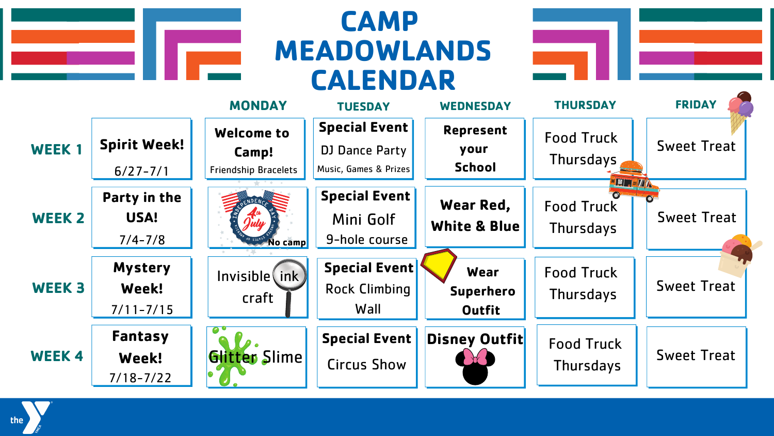## **CAMP MEADOWLANDS CALENDAR**

| <b>MONDAY</b><br><b>TUESDAY</b>                                      | <b>WEDNESDAY</b>       |
|----------------------------------------------------------------------|------------------------|
| <b>Special Event</b><br><b>Welcome to</b>                            | <b>Represent</b>       |
| <b>Spirit Week!</b><br>WEEK 1<br>DJ Dance Party<br>Camp!             | your                   |
| Music, Games & Prizes<br><b>Friendship Bracelets</b><br>$6/27 - 7/1$ | <b>School</b>          |
| <b>Special Event</b><br>Party in the<br>PRENDENA                     | <b>Wear Red,</b>       |
| USA!<br><b>WEEK 2</b><br>Mini Golf                                   | <b>White &amp; Blu</b> |
| 9-hole course<br>$7/4 - 7/8$<br>$40$ $23747$<br>No camp              |                        |
| <b>Special Event</b><br><b>Mystery</b>                               | Wear                   |
| Invisible(ink)<br><b>WEEK3</b><br>Week!<br><b>Rock Climbing</b>      | <b>Superherd</b>       |
| craft<br>$7/11 - 7/15$<br>Wall                                       | <b>Outfit</b>          |
| Fantasy<br><b>Special Event</b>                                      | <b>Disney Outf</b>     |
| Glitter Slime<br><b>WEEK4</b><br>Week!<br><b>Circus Show</b>         |                        |
| $7/18 - 7/22$                                                        |                        |



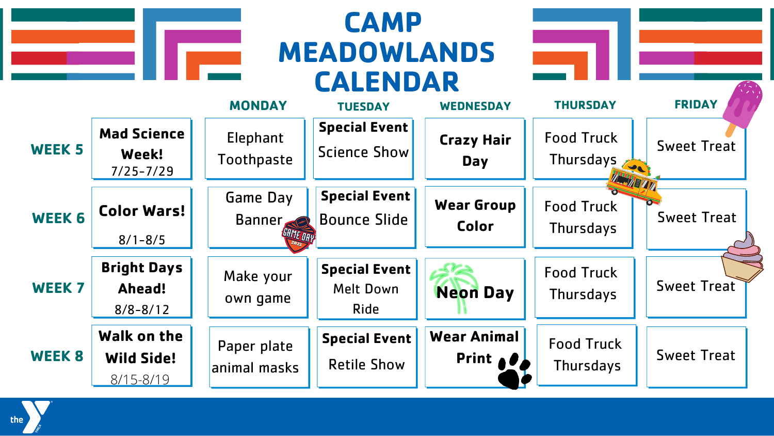## **CAMP MEADOWLANDS CALENDAR MONDAY WEEK 5 WEEK 6 WEEK 7 WEEK 8 Mad Science Week!** 7/25-7/29 Elephant Toothpaste **Special Event** Science Show **Crazy Hair Day Color Wars!** 8/1-8/5 Bounce Slide **Special Event Wear Group Color Bright Days Ahead!** 8/8-8/12 Make your own game **Special Event** Melt Down Ride **Walk on the Wild Side!** 8/15-8/19 Paper plate animal masks **Special Event** Retile Show **Wear Animal** Game Day Banner **Neon Day**